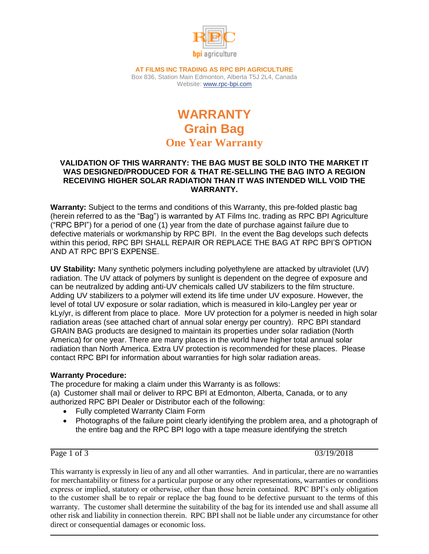

**AT FILMS INC TRADING AS RPC BPI AGRICULTURE** Box 836, Station Main Edmonton, Alberta T5J 2L4, Canada Website: [www.rpc-bpi.com](http://www.rpc-bpi.com/)

# **WARRANTY Grain Bag One Year Warranty**

### **VALIDATION OF THIS WARRANTY: THE BAG MUST BE SOLD INTO THE MARKET IT WAS DESIGNED/PRODUCED FOR & THAT RE-SELLING THE BAG INTO A REGION RECEIVING HIGHER SOLAR RADIATION THAN IT WAS INTENDED WILL VOID THE WARRANTY.**

**Warranty:** Subject to the terms and conditions of this Warranty, this pre-folded plastic bag (herein referred to as the "Bag") is warranted by AT Films Inc. trading as RPC BPI Agriculture ("RPC BPI") for a period of one (1) year from the date of purchase against failure due to defective materials or workmanship by RPC BPI. In the event the Bag develops such defects within this period, RPC BPI SHALL REPAIR OR REPLACE THE BAG AT RPC BPI'S OPTION AND AT RPC BPI'S EXPENSE.

**UV Stability:** Many synthetic polymers including polyethylene are attacked by ultraviolet (UV) radiation. The UV attack of polymers by sunlight is dependent on the degree of exposure and can be neutralized by adding anti-UV chemicals called UV stabilizers to the film structure. Adding UV stabilizers to a polymer will extend its life time under UV exposure. However, the level of total UV exposure or solar radiation, which is measured in kilo-Langley per year or kLy/yr, is different from place to place. More UV protection for a polymer is needed in high solar radiation areas (see attached chart of annual solar energy per country). RPC BPI standard GRAIN BAG products are designed to maintain its properties under solar radiation (North America) for one year. There are many places in the world have higher total annual solar radiation than North America. Extra UV protection is recommended for these places. Please contact RPC BPI for information about warranties for high solar radiation areas.

## **Warranty Procedure:**

The procedure for making a claim under this Warranty is as follows: (a) Customer shall mail or deliver to RPC BPI at Edmonton, Alberta, Canada, or to any authorized RPC BPI Dealer or Distributor each of the following:

- Fully completed Warranty Claim Form
- Photographs of the failure point clearly identifying the problem area, and a photograph of the entire bag and the RPC BPI logo with a tape measure identifying the stretch

Page 1 of 3 03/19/2018

This warranty is expressly in lieu of any and all other warranties. And in particular, there are no warranties for merchantability or fitness for a particular purpose or any other representations, warranties or conditions express or implied, statutory or otherwise, other than those herein contained. RPC BPI's only obligation to the customer shall be to repair or replace the bag found to be defective pursuant to the terms of this warranty. The customer shall determine the suitability of the bag for its intended use and shall assume all other risk and liability in connection therein. RPC BPI shall not be liable under any circumstance for other direct or consequential damages or economic loss.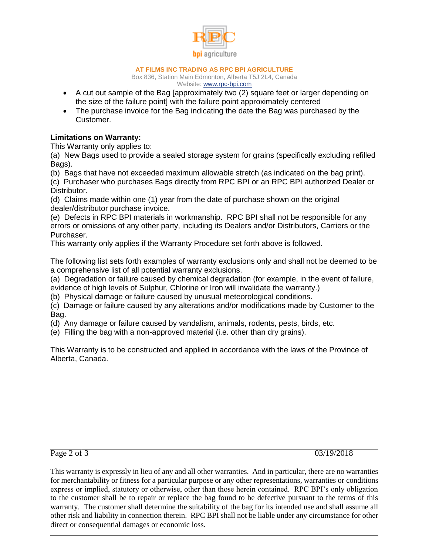

#### **AT FILMS INC TRADING AS RPC BPI AGRICULTURE**

Box 836, Station Main Edmonton, Alberta T5J 2L4, Canada Website: [www.rpc-bpi.com](http://www.rpc-bpi.com/)

- A cut out sample of the Bag [approximately two (2) square feet or larger depending on the size of the failure point] with the failure point approximately centered
- The purchase invoice for the Bag indicating the date the Bag was purchased by the Customer.

## **Limitations on Warranty:**

This Warranty only applies to:

(a) New Bags used to provide a sealed storage system for grains (specifically excluding refilled Bags).

(b) Bags that have not exceeded maximum allowable stretch (as indicated on the bag print).

(c) Purchaser who purchases Bags directly from RPC BPI or an RPC BPI authorized Dealer or Distributor.

(d) Claims made within one (1) year from the date of purchase shown on the original dealer/distributor purchase invoice.

(e) Defects in RPC BPI materials in workmanship. RPC BPI shall not be responsible for any errors or omissions of any other party, including its Dealers and/or Distributors, Carriers or the Purchaser.

This warranty only applies if the Warranty Procedure set forth above is followed.

The following list sets forth examples of warranty exclusions only and shall not be deemed to be a comprehensive list of all potential warranty exclusions.

(a) Degradation or failure caused by chemical degradation (for example, in the event of failure,

evidence of high levels of Sulphur, Chlorine or Iron will invalidate the warranty.)

(b) Physical damage or failure caused by unusual meteorological conditions.

(c) Damage or failure caused by any alterations and/or modifications made by Customer to the Bag.

(d) Any damage or failure caused by vandalism, animals, rodents, pests, birds, etc.

(e) Filling the bag with a non-approved material (i.e. other than dry grains).

This Warranty is to be constructed and applied in accordance with the laws of the Province of Alberta, Canada.

Page 2 of 3 03/19/2018

This warranty is expressly in lieu of any and all other warranties. And in particular, there are no warranties for merchantability or fitness for a particular purpose or any other representations, warranties or conditions express or implied, statutory or otherwise, other than those herein contained. RPC BPI's only obligation to the customer shall be to repair or replace the bag found to be defective pursuant to the terms of this warranty. The customer shall determine the suitability of the bag for its intended use and shall assume all other risk and liability in connection therein. RPC BPI shall not be liable under any circumstance for other direct or consequential damages or economic loss.